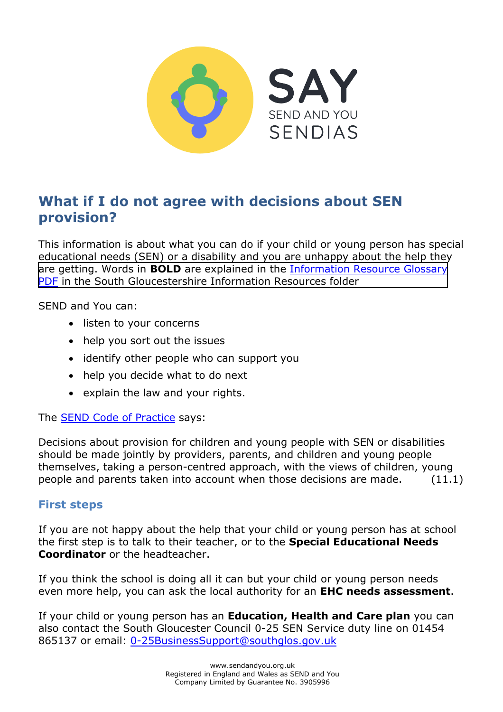

# **What if I do not agree with decisions about SEN provision?**

This information is about what you can do if your child or young person has special educational needs (SEN) or a disability and you are unhappy about the help they are getting. Words in **BOLD** are explained in the [Information Resource Glossary](https://www.supportiveparents.org.uk/wp-content/uploads/2020/02/Information-Resource-Glossary-REVISED2.pdf) [PDF](https://www.supportiveparents.org.uk/wp-content/uploads/2020/02/Information-Resource-Glossary-REVISED2.pdf) [in the South Gloucestershire Information Resources folder](https://www.sendandyou.org.uk/wp-content/uploads/2021/08/Information-Resource-Glossary-REVISED2-new.pdf) 

SEND and You can:

- listen to your concerns
- help you sort out the issues
- identify other people who can support you
- help you decide what to do next
- explain the law and your rights.

The [SEND Code of Practice](https://www.gov.uk/government/publications/send-code-of-practice-0-to-25) says:

Decisions about provision for children and young people with SEN or disabilities should be made jointly by providers, parents, and children and young people themselves, taking a person-centred approach, with the views of children, young people and parents taken into account when those decisions are made. (11.1)

#### **First steps**

If you are not happy about the help that your child or young person has at school the first step is to talk to their teacher, or to the **Special Educational Needs Coordinator** or the headteacher.

If you think the school is doing all it can but your child or young person needs even more help, you can ask the local authority for an **EHC needs assessment**.

If your child or young person has an **Education, Health and Care plan** you can also contact the South Gloucester Council 0-25 SEN Service duty line on 01454 865137 or email: [0-25BusinessSupport@southglos.gov.uk](mailto:0-25BusinessSupport@southglos.gov.uk)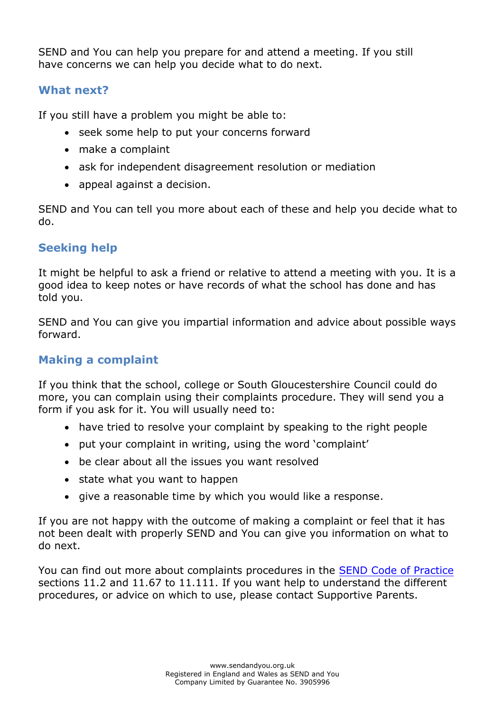SEND and You can help you prepare for and attend a meeting. If you still have concerns we can help you decide what to do next.

## **What next?**

If you still have a problem you might be able to:

- seek some help to put your concerns forward
- make a complaint
- ask for independent disagreement resolution or mediation
- appeal against a decision.

SEND and You can tell you more about each of these and help you decide what to do.

## **Seeking help**

It might be helpful to ask a friend or relative to attend a meeting with you. It is a good idea to keep notes or have records of what the school has done and has told you.

SEND and You can give you impartial information and advice about possible ways forward.

## **Making a complaint**

If you think that the school, college or South Gloucestershire Council could do more, you can complain using their complaints procedure. They will send you a form if you ask for it. You will usually need to:

- have tried to resolve your complaint by speaking to the right people
- put your complaint in writing, using the word 'complaint'
- be clear about all the issues you want resolved
- state what you want to happen
- give a reasonable time by which you would like a response.

If you are not happy with the outcome of making a complaint or feel that it has not been dealt with properly SEND and You can give you information on what to do next.

You can find out more about complaints procedures in the [SEND Code of Practice](https://www.gov.uk/government/publications/send-code-of-practice-0-to-25) sections 11.2 and 11.67 to 11.111. If you want help to understand the different procedures, or advice on which to use, please contact Supportive Parents.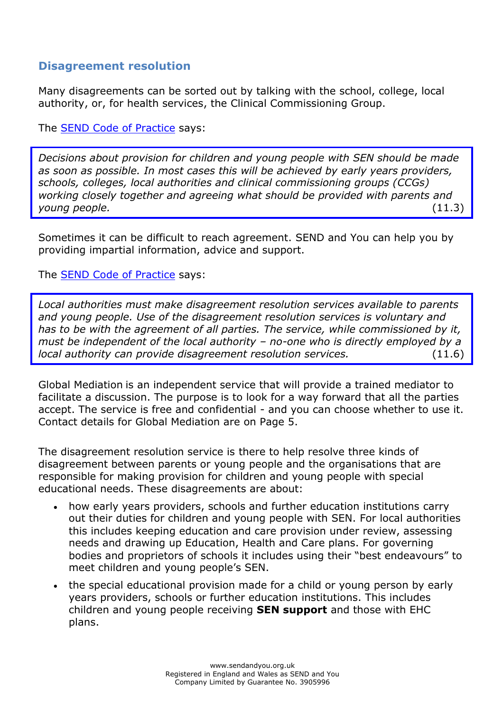### **Disagreement resolution**

Many disagreements can be sorted out by talking with the school, college, local authority, or, for health services, the Clinical Commissioning Group.

The [SEND Code of Practice](https://www.gov.uk/government/publications/send-code-of-practice-0-to-25) says:

*Decisions about provision for children and young people with SEN should be made as soon as possible. In most cases this will be achieved by early years providers, schools, colleges, local authorities and clinical commissioning groups (CCGs) working closely together and agreeing what should be provided with parents and young people.* (11.3)

Sometimes it can be difficult to reach agreement. SEND and You can help you by providing impartial information, advice and support.

The [SEND Code of Practice](https://www.gov.uk/government/publications/send-code-of-practice-0-to-25) says:

*Local authorities must make disagreement resolution services available to parents and young people. Use of the disagreement resolution services is voluntary and has to be with the agreement of all parties. The service, while commissioned by it, must be independent of the local authority – no-one who is directly employed by a local authority can provide disagreement resolution services.* (11.6)

Global Mediation is an independent service that will provide a trained mediator to facilitate a discussion. The purpose is to look for a way forward that all the parties accept. The service is free and confidential - and you can choose whether to use it. Contact details for Global Mediation are on Page 5.

The disagreement resolution service is there to help resolve three kinds of disagreement between parents or young people and the organisations that are responsible for making provision for children and young people with special educational needs. These disagreements are about:

- how early years providers, schools and further education institutions carry out their duties for children and young people with SEN. For local authorities this includes keeping education and care provision under review, assessing needs and drawing up Education, Health and Care plans. For governing bodies and proprietors of schools it includes using their "best endeavours" to meet children and young people's SEN.
- the special educational provision made for a child or young person by early years providers, schools or further education institutions. This includes children and young people receiving **SEN support** and those with EHC plans.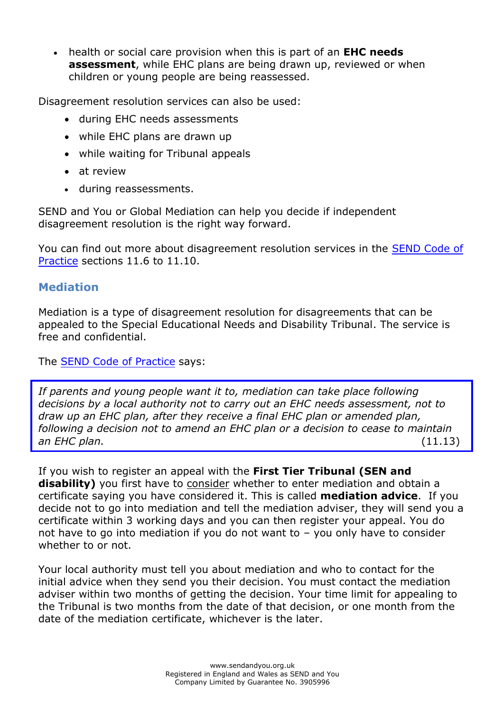health or social care provision when this is part of an **EHC needs assessment**, while EHC plans are being drawn up, reviewed or when children or young people are being reassessed.

Disagreement resolution services can also be used:

- during EHC needs assessments
- while EHC plans are drawn up
- while waiting for Tribunal appeals
- at review
- during reassessments.

SEND and You or Global Mediation can help you decide if independent disagreement resolution is the right way forward.

You can find out more about disagreement resolution services in the [SEND Code of](https://www.gov.uk/government/publications/send-code-of-practice-0-to-25) [Practice](https://www.gov.uk/government/publications/send-code-of-practice-0-to-25) sections 11.6 to 11.10.

#### **Mediation**

Mediation is a type of disagreement resolution for disagreements that can be appealed to the Special Educational Needs and Disability Tribunal. The service is free and confidential.

The [SEND Code of Practice](https://www.gov.uk/government/publications/send-code-of-practice-0-to-25) says:

*If parents and young people want it to, mediation can take place following decisions by a local authority not to carry out an EHC needs assessment, not to draw up an EHC plan, after they receive a final EHC plan or amended plan, following a decision not to amend an EHC plan or a decision to cease to maintain an EHC plan.* (11.13)

If you wish to register an appeal with the **First Tier Tribunal (SEN and**  disability) you first have to consider whether to enter mediation and obtain a certificate saying you have considered it. This is called **mediation advice**. If you decide not to go into mediation and tell the mediation adviser, they will send you a certificate within 3 working days and you can then register your appeal. You do not have to go into mediation if you do not want to – you only have to consider whether to or not.

Your local authority must tell you about mediation and who to contact for the initial advice when they send you their decision. You must contact the mediation adviser within two months of getting the decision. Your time limit for appealing to the Tribunal is two months from the date of that decision, or one month from the date of the mediation certificate, whichever is the later.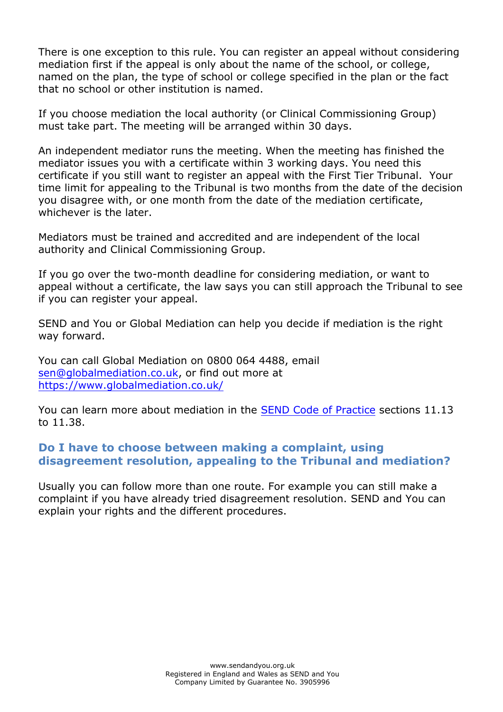There is one exception to this rule. You can register an appeal without considering mediation first if the appeal is only about the name of the school, or college, named on the plan, the type of school or college specified in the plan or the fact that no school or other institution is named.

If you choose mediation the local authority (or Clinical Commissioning Group) must take part. The meeting will be arranged within 30 days.

An independent mediator runs the meeting. When the meeting has finished the mediator issues you with a certificate within 3 working days. You need this certificate if you still want to register an appeal with the First Tier Tribunal. Your time limit for appealing to the Tribunal is two months from the date of the decision you disagree with, or one month from the date of the mediation certificate, whichever is the later.

Mediators must be trained and accredited and are independent of the local authority and Clinical Commissioning Group.

If you go over the two-month deadline for considering mediation, or want to appeal without a certificate, the law says you can still approach the Tribunal to see if you can register your appeal.

SEND and You or Global Mediation can help you decide if mediation is the right way forward.

You can call Global Mediation on 0800 064 4488, email [sen@globalmediation.co.uk,](mailto:sen@globalmediation.co.uk) or find out more at <https://www.globalmediation.co.uk/>

You can learn more about mediation in the [SEND Code of Practice](https://www.gov.uk/government/publications/send-code-of-practice-0-to-25) sections 11.13 to 11.38.

#### **Do I have to choose between making a complaint, using disagreement resolution, appealing to the Tribunal and mediation?**

Usually you can follow more than one route. For example you can still make a complaint if you have already tried disagreement resolution. SEND and You can explain your rights and the different procedures.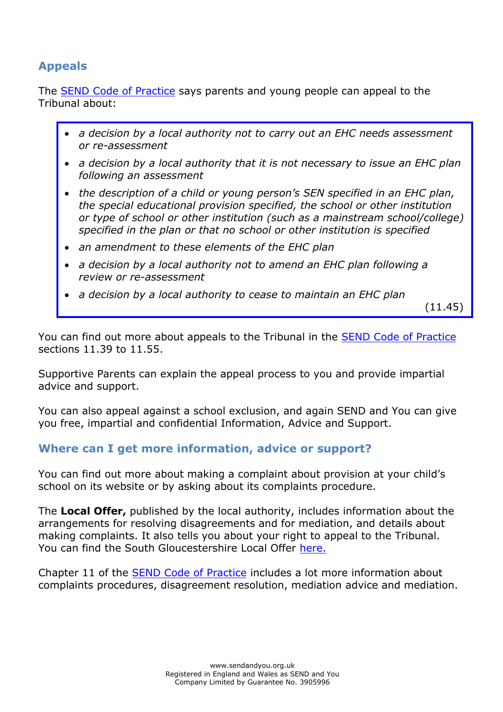## **Appeals**

The [SEND Code of Practice](https://www.gov.uk/government/publications/send-code-of-practice-0-to-25) says parents and young people can appeal to the Tribunal about:

- *a decision by a local authority not to carry out an EHC needs assessment or re-assessment*
- *a decision by a local authority that it is not necessary to issue an EHC plan following an assessment*
- *the description of a child or young person's SEN specified in an EHC plan, the special educational provision specified, the school or other institution or type of school or other institution (such as a mainstream school/college) specified in the plan or that no school or other institution is specified*
- *an amendment to these elements of the EHC plan*
- *a decision by a local authority not to amend an EHC plan following a review or re-assessment*
- *a decision by a local authority to cease to maintain an EHC plan*

(11.45)

You can find out more about appeals to the Tribunal in the [SEND Code of Practice](https://www.gov.uk/government/publications/send-code-of-practice-0-to-25) sections 11.39 to 11.55.

Supportive Parents can explain the appeal process to you and provide impartial advice and support.

You can also appeal against a school exclusion, and again SEND and You can give you free, impartial and confidential Information, Advice and Support.

## **Where can I get more information, advice or support?**

You can find out more about making a complaint about provision at your child's school on its website or by asking about its complaints procedure.

The **Local Offer,** published by the local authority, includes information about the arrangements for resolving disagreements and for mediation, and details about making complaints. It also tells you about your right to appeal to the Tribunal. You can find the South Gloucestershire Local Offer [here.](http://www.southglos.gov.uk/health-and-social-care/local-offer/)

Chapter 11 of the [SEND Code of Practice](https://www.gov.uk/government/publications/send-code-of-practice-0-to-25) includes a lot more information about complaints procedures, disagreement resolution, mediation advice and mediation.